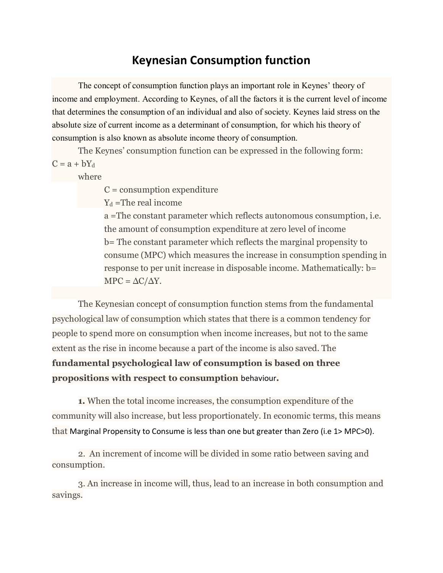## **Keynesian Consumption function**

The concept of consumption function plays an important role in Keynes' theory of income and employment. According to Keynes, of all the factors it is the current level of income that determines the consumption of an individual and also of society. Keynes laid stress on the absolute size of current income as a determinant of consumption, for which his theory of consumption is also known as absolute income theory of consumption.

The Keynes' consumption function can be expressed in the following form:  $C = a + bY_d$ 

where

 $C =$  consumption expenditure

 $Y_d$  =The real income

a =The constant parameter which reflects autonomous consumption, i.e. the amount of consumption expenditure at zero level of income b= The constant parameter which reflects the marginal propensity to consume (MPC) which measures the increase in consumption spending in response to per unit increase in disposable income. Mathematically: b=  $MPC = \Delta C/\Delta Y$ .

The Keynesian concept of consumption function stems from the fundamental psychological law of consumption which states that there is a common tendency for people to spend more on consumption when income increases, but not to the same extent as the rise in income because a part of the income is also saved. The **fundamental psychological law of consumption is based on three propositions with respect to consumption** behaviour**.**

**1.** When the total income increases, the consumption expenditure of the community will also increase, but less proportionately. In economic terms, this means that Marginal Propensity to Consume is less than one but greater than Zero (i.e 1> MPC>0).

2. An increment of income will be divided in some ratio between saving and consumption.

3. An increase in income will, thus, lead to an increase in both consumption and savings.